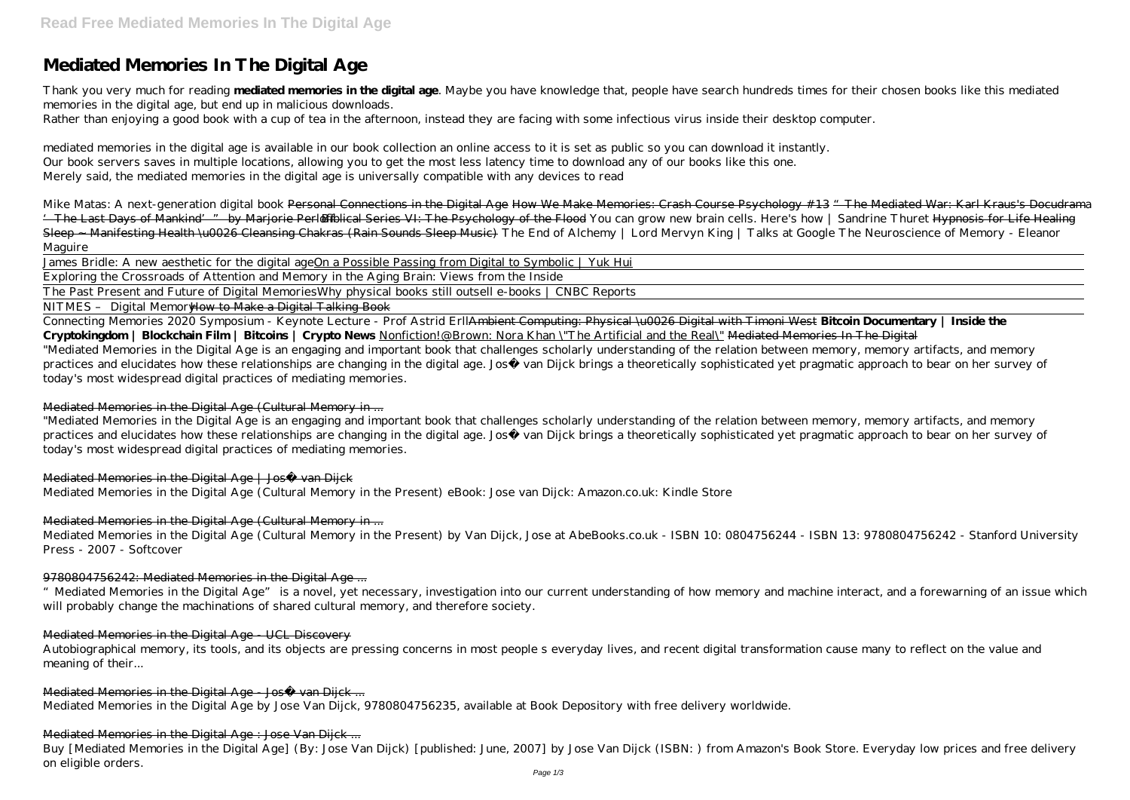# **Mediated Memories In The Digital Age**

Thank you very much for reading **mediated memories in the digital age**. Maybe you have knowledge that, people have search hundreds times for their chosen books like this mediated memories in the digital age, but end up in malicious downloads. Rather than enjoying a good book with a cup of tea in the afternoon, instead they are facing with some infectious virus inside their desktop computer.

mediated memories in the digital age is available in our book collection an online access to it is set as public so you can download it instantly. Our book servers saves in multiple locations, allowing you to get the most less latency time to download any of our books like this one. Merely said, the mediated memories in the digital age is universally compatible with any devices to read

*Mike Matas: A next-generation digital book* Personal Connections in the Digital Age How We Make Memories: Crash Course Psychology #13 "The Mediated War: Karl Kraus's Docudrama <sup>1</sup> The Last Days of Mankind'" by Marjorie Perleffblical Series VI: The Psychology of the Flood *You can grow new brain cells. Here's how | Sandrine Thuret* Hypnosis for Life Healing Sleep - Manifesting Health \u0026 Cleansing Chakras (Rain Sounds Sleep Music) The End of Alchemy | Lord Mervyn King | Talks at Google The Neuroscience of Memory - Eleanor Maguire

James Bridle: A new aesthetic for the digital ageOn a Possible Passing from Digital to Symbolic | Yuk Hui

Exploring the Crossroads of Attention and Memory in the Aging Brain: Views from the Inside

The Past Present and Future of Digital Memories*Why physical books still outsell e-books | CNBC Reports*

NITMES - Digital Memor<del>How to Make a Digital Talking Book</del>

Connecting Memories 2020 Symposium - Keynote Lecture - Prof Astrid ErllAmbient Computing: Physical \u0026 Digital with Timoni West **Bitcoin Documentary | Inside the Cryptokingdom | Blockchain Film | Bitcoins | Crypto News** Nonfiction!@Brown: Nora Khan \"The Artificial and the Real\" Mediated Memories In The Digital "Mediated Memories in the Digital Age is an engaging and important book that challenges scholarly understanding of the relation between memory, memory artifacts, and memory practices and elucidates how these relationships are changing in the digital age. José van Dijck brings a theoretically sophisticated yet pragmatic approach to bear on her survey of today's most widespread digital practices of mediating memories.

# Mediated Memories in the Digital Age (Cultural Memory in ...

"Mediated Memories in the Digital Age is an engaging and important book that challenges scholarly understanding of the relation between memory, memory artifacts, and memory practices and elucidates how these relationships are changing in the digital age. José van Dijck brings a theoretically sophisticated yet pragmatic approach to bear on her survey of today's most widespread digital practices of mediating memories.

#### Mediated Memories in the Digital Age | José van Dijck

Mediated Memories in the Digital Age (Cultural Memory in the Present) eBook: Jose van Dijck: Amazon.co.uk: Kindle Store

# Mediated Memories in the Digital Age (Cultural Memory in ...

Mediated Memories in the Digital Age (Cultural Memory in the Present) by Van Dijck, Jose at AbeBooks.co.uk - ISBN 10: 0804756244 - ISBN 13: 9780804756242 - Stanford University Press - 2007 - Softcover

# 9780804756242: Mediated Memories in the Digital Age ...

"Mediated Memories in the Digital Age" is a novel, yet necessary, investigation into our current understanding of how memory and machine interact, and a forewarning of an issue which will probably change the machinations of shared cultural memory, and therefore society.

#### Mediated Memories in the Digital Age - UCL Discovery

Autobiographical memory, its tools, and its objects are pressing concerns in most people s everyday lives, and recent digital transformation cause many to reflect on the value and meaning of their...

#### Mediated Memories in the Digital Age José van Dijck ...

Mediated Memories in the Digital Age by Jose Van Dijck, 9780804756235, available at Book Depository with free delivery worldwide.

# Mediated Memories in the Digital Age : Jose Van Dijck ...

Buy [Mediated Memories in the Digital Age] (By: Jose Van Dijck) [published: June, 2007] by Jose Van Dijck (ISBN: ) from Amazon's Book Store. Everyday low prices and free delivery on eligible orders.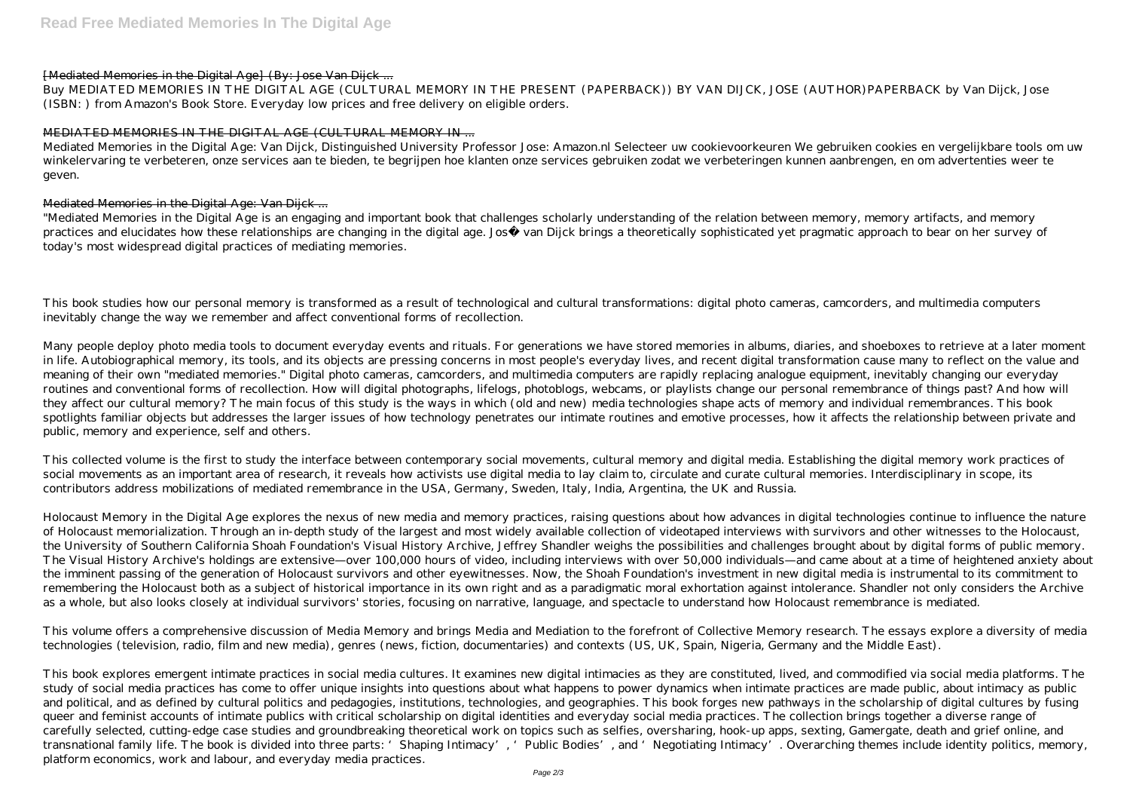### [Mediated Memories in the Digital Age] (By: Jose Van Dijck ...

Buy MEDIATED MEMORIES IN THE DIGITAL AGE (CULTURAL MEMORY IN THE PRESENT (PAPERBACK)) BY VAN DIJCK, JOSE (AUTHOR)PAPERBACK by Van Dijck, Jose (ISBN: ) from Amazon's Book Store. Everyday low prices and free delivery on eligible orders.

# MEDIATED MEMORIES IN THE DIGITAL AGE (CULTURAL MEMORY IN ...

Mediated Memories in the Digital Age: Van Dijck, Distinguished University Professor Jose: Amazon.nl Selecteer uw cookievoorkeuren We gebruiken cookies en vergelijkbare tools om uw winkelervaring te verbeteren, onze services aan te bieden, te begrijpen hoe klanten onze services gebruiken zodat we verbeteringen kunnen aanbrengen, en om advertenties weer te geven.

### Mediated Memories in the Digital Age: Van Dijck ...

"Mediated Memories in the Digital Age is an engaging and important book that challenges scholarly understanding of the relation between memory, memory artifacts, and memory practices and elucidates how these relationships are changing in the digital age. José van Dijck brings a theoretically sophisticated yet pragmatic approach to bear on her survey of today's most widespread digital practices of mediating memories.

This book studies how our personal memory is transformed as a result of technological and cultural transformations: digital photo cameras, camcorders, and multimedia computers inevitably change the way we remember and affect conventional forms of recollection.

Many people deploy photo media tools to document everyday events and rituals. For generations we have stored memories in albums, diaries, and shoeboxes to retrieve at a later moment in life. Autobiographical memory, its tools, and its objects are pressing concerns in most people's everyday lives, and recent digital transformation cause many to reflect on the value and meaning of their own "mediated memories." Digital photo cameras, camcorders, and multimedia computers are rapidly replacing analogue equipment, inevitably changing our everyday routines and conventional forms of recollection. How will digital photographs, lifelogs, photoblogs, webcams, or playlists change our personal remembrance of things past? And how will they affect our cultural memory? The main focus of this study is the ways in which (old and new) media technologies shape acts of memory and individual remembrances. This book spotlights familiar objects but addresses the larger issues of how technology penetrates our intimate routines and emotive processes, how it affects the relationship between private and public, memory and experience, self and others.

This collected volume is the first to study the interface between contemporary social movements, cultural memory and digital media. Establishing the digital memory work practices of social movements as an important area of research, it reveals how activists use digital media to lay claim to, circulate and curate cultural memories. Interdisciplinary in scope, its contributors address mobilizations of mediated remembrance in the USA, Germany, Sweden, Italy, India, Argentina, the UK and Russia.

Holocaust Memory in the Digital Age explores the nexus of new media and memory practices, raising questions about how advances in digital technologies continue to influence the nature of Holocaust memorialization. Through an in-depth study of the largest and most widely available collection of videotaped interviews with survivors and other witnesses to the Holocaust, the University of Southern California Shoah Foundation's Visual History Archive, Jeffrey Shandler weighs the possibilities and challenges brought about by digital forms of public memory. The Visual History Archive's holdings are extensive—over 100,000 hours of video, including interviews with over 50,000 individuals—and came about at a time of heightened anxiety about the imminent passing of the generation of Holocaust survivors and other eyewitnesses. Now, the Shoah Foundation's investment in new digital media is instrumental to its commitment to remembering the Holocaust both as a subject of historical importance in its own right and as a paradigmatic moral exhortation against intolerance. Shandler not only considers the Archive as a whole, but also looks closely at individual survivors' stories, focusing on narrative, language, and spectacle to understand how Holocaust remembrance is mediated.

This volume offers a comprehensive discussion of Media Memory and brings Media and Mediation to the forefront of Collective Memory research. The essays explore a diversity of media technologies (television, radio, film and new media), genres (news, fiction, documentaries) and contexts (US, UK, Spain, Nigeria, Germany and the Middle East).

This book explores emergent intimate practices in social media cultures. It examines new digital intimacies as they are constituted, lived, and commodified via social media platforms. The study of social media practices has come to offer unique insights into questions about what happens to power dynamics when intimate practices are made public, about intimacy as public and political, and as defined by cultural politics and pedagogies, institutions, technologies, and geographies. This book forges new pathways in the scholarship of digital cultures by fusing queer and feminist accounts of intimate publics with critical scholarship on digital identities and everyday social media practices. The collection brings together a diverse range of carefully selected, cutting-edge case studies and groundbreaking theoretical work on topics such as selfies, oversharing, hook-up apps, sexting, Gamergate, death and grief online, and transnational family life. The book is divided into three parts: 'Shaping Intimacy', 'Public Bodies', and 'Negotiating Intimacy'. Overarching themes include identity politics, memory, platform economics, work and labour, and everyday media practices.